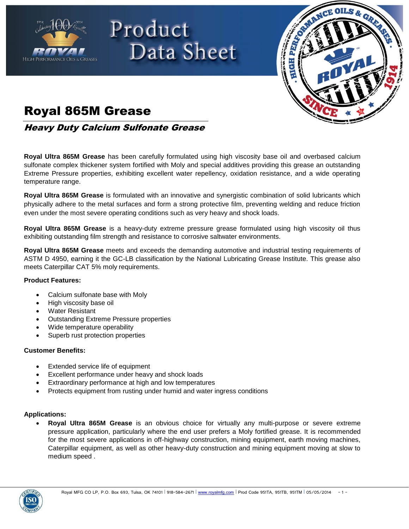

# Product Data Sheet



### Royal 865M Grease

Heavy Duty Calcium Sulfonate Grease

**Royal Ultra 865M Grease** has been carefully formulated using high viscosity base oil and overbased calcium sulfonate complex thickener system fortified with Moly and special additives providing this grease an outstanding Extreme Pressure properties, exhibiting excellent water repellency, oxidation resistance, and a wide operating temperature range.

**Royal Ultra 865M Grease** is formulated with an innovative and synergistic combination of solid lubricants which physically adhere to the metal surfaces and form a strong protective film, preventing welding and reduce friction even under the most severe operating conditions such as very heavy and shock loads.

**Royal Ultra 865M Grease** is a heavy-duty extreme pressure grease formulated using high viscosity oil thus exhibiting outstanding film strength and resistance to corrosive saltwater environments.

**Royal Ultra 865M Grease** meets and exceeds the demanding automotive and industrial testing requirements of ASTM D 4950, earning it the GC-LB classification by the National Lubricating Grease Institute. This grease also meets Caterpillar CAT 5% moly requirements.

#### **Product Features:**

- Calcium sulfonate base with Moly
- High viscosity base oil
- Water Resistant
- Outstanding Extreme Pressure properties
- Wide temperature operability
- Superb rust protection properties

#### **Customer Benefits:**

- Extended service life of equipment
- Excellent performance under heavy and shock loads
- Extraordinary performance at high and low temperatures
- Protects equipment from rusting under humid and water ingress conditions

#### **Applications:**

 **Royal Ultra 865M Grease** is an obvious choice for virtually any multi-purpose or severe extreme pressure application, particularly where the end user prefers a Moly fortified grease. It is recommended for the most severe applications in off-highway construction, mining equipment, earth moving machines, Caterpillar equipment, as well as other heavy-duty construction and mining equipment moving at slow to medium speed .